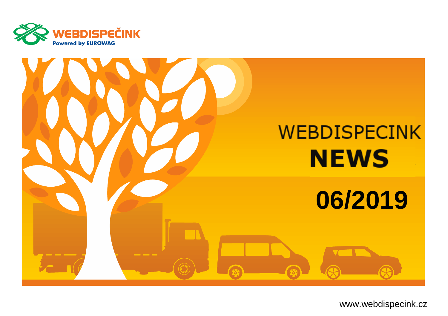



www.webdispecink.cz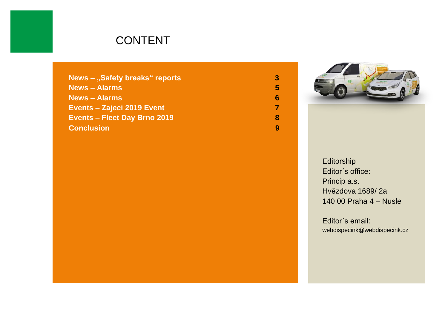#### CONTENT

| News - "Safety breaks" reports      | З |
|-------------------------------------|---|
| <b>News - Alarms</b>                | 5 |
| <b>News - Alarms</b>                | 6 |
| Events - Zajeci 2019 Event          |   |
| <b>Events - Fleet Day Brno 2019</b> | 8 |
| <b>Conclusion</b>                   |   |



Editorship Editor´s office: Princip a.s. Hvězdova 1689/ 2a 140 00 Praha 4 – Nusle

Editor´s email: webdispecink@webdispecink.cz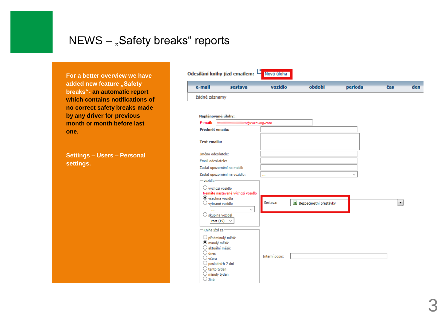## NEWS - "Safety breaks" reports

**For a better overview we have added new feature "Safety breaks"- an automatic report which contains notifications of no correct safety breaks made by any driver for previous month or month before last one.**

**Settings – Users – Personal settings.**

|                                                                                     | Odesílání knihy jízd emailem:    | Nová úloha     |                        |         |                      |     |
|-------------------------------------------------------------------------------------|----------------------------------|----------------|------------------------|---------|----------------------|-----|
| e-mail                                                                              | sestava                          | vozidlo        | období                 | perioda | čas                  | den |
| žádné záznamy                                                                       |                                  |                |                        |         |                      |     |
| Naplánované úlohy:<br>E-mail:                                                       | tova@eurowag.com                 |                |                        |         |                      |     |
| Předmět emailu:                                                                     |                                  |                |                        |         |                      |     |
| <b>Text emailu:</b>                                                                 |                                  |                |                        |         |                      |     |
| Jméno odesilatele:<br>Email odesilatele:                                            |                                  |                |                        |         |                      |     |
|                                                                                     | Zaslat upozornění na mobil:      |                |                        |         |                      |     |
|                                                                                     | Zaslat upozornění na vozidlo:    | à.             |                        |         |                      |     |
| - vozidlo<br>Výchozí vozidlo                                                        |                                  |                |                        |         |                      |     |
|                                                                                     | Nemáte nastavené výchozí vozidlo |                |                        |         |                      |     |
| <b>●</b> všechna vozidla<br>O vybrané vozidlo                                       | $\checkmark$                     | Sestava:       | Bezpečnostní přestávky |         | $\blacktriangledown$ |     |
| <br>$\bigcirc$ skupina vozidel<br>root(19)                                          |                                  |                |                        |         |                      |     |
| Kniha jízd za                                                                       |                                  |                |                        |         |                      |     |
| $\bigcirc$ předminulý měsíc<br>minulý měsíc<br>aktuální měsíc                       |                                  |                |                        |         |                      |     |
| $\bigcirc$ dnes<br>$\bigcirc$ včera<br>O posledních 7 dní<br>$\bigcirc$ tento týden |                                  | Interní popis: |                        |         |                      |     |
| $\supset$ minulý týden<br>. Jiné                                                    |                                  |                |                        |         |                      |     |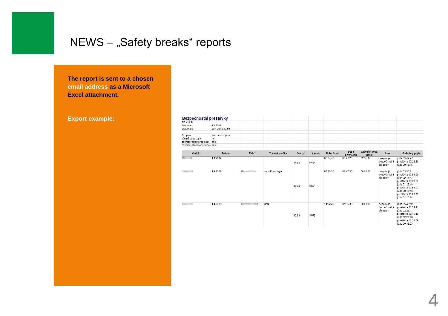# NEWS - "Safety breaks" reports

**The report is sent to a chosen email address as a Microsoft Excel attachment.**

**Export example:**

| <b>Bezpechosthi prestavky</b> |                 |               |                 |        |        |             |                   |                          |                                       |                                                                                                                                                                                |
|-------------------------------|-----------------|---------------|-----------------|--------|--------|-------------|-------------------|--------------------------|---------------------------------------|--------------------------------------------------------------------------------------------------------------------------------------------------------------------------------|
| RZ vozidla                    |                 |               |                 |        |        |             |                   |                          |                                       |                                                                                                                                                                                |
| Datum od                      | 1.4.2019        |               |                 |        |        |             |                   |                          |                                       |                                                                                                                                                                                |
| Datum do                      | 30.4.2019 23:59 |               |                 |        |        |             |                   |                          |                                       |                                                                                                                                                                                |
| Skupina                       | všechny skupiny |               |                 |        |        |             |                   |                          |                                       |                                                                                                                                                                                |
| včetně podskupin              | ne              |               |                 |        |        |             |                   |                          |                                       |                                                                                                                                                                                |
| zobrazovat jen problémy       | ano             |               |                 |        |        |             |                   |                          |                                       |                                                                                                                                                                                |
| zobrazovat podrobný popis ano |                 |               |                 |        |        |             |                   |                          |                                       |                                                                                                                                                                                |
| <b>Vozidlo</b>                | <b>Datum</b>    | Řidič         | Tovární značka  | čas od | čas do | Doba řízení | Doba<br>přestávek | Zbývající doba<br>řizení | <b>Stav</b>                           | Podrobný popis                                                                                                                                                                 |
| $2M = 09$                     | 1.4.2019        |               |                 | 11:03  | 17:30  | 06:04:43    | 00:22:26          | 02:55:17                 | nesplñuje<br>bezpečnostní<br>předpisy | jízda 05:49:27<br>přestávka 00:22:26<br>iízda 00:15:16                                                                                                                         |
| $5/44 = 98$                   | 1.4.2019        | Kun all       | Iveco Eurocargo | 02:44  | 20:58  | 09:26:56    | 08:47:36          | 00:00:00                 | nesplňuje<br>bezpečnostní<br>předpisy | iizda 03:55:31<br>přestávka 00:54:56<br>lizda 02:41:47<br>přestávka 00:28:08<br>jízda 01:23:48<br>přestávka 00:55:03<br>iízda 00:15:16<br>přestávka 06:29:29<br>iizda 01:10:34 |
| 6/4 11                        | 1.4.2019        | nië<br>Record | <b>MAN</b>      | 02:59  | 15:59  | 11:22:42    | 01:36:39          | 00:00:00                 | nesplñuje<br>bezpečnostní<br>předpisy | jizda 05:48:12<br>přestávka 00:21:41<br>jízda 02:28:47<br>přestávka 00:46:19<br>iízda 02:29:20<br>přestávka 00:28:39<br>iizda 00:36:23                                         |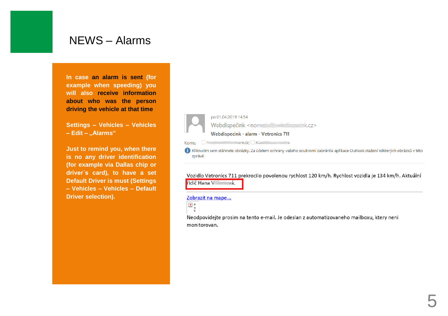#### NEWS – Alarm s

**In case an alarm is sent (for example when speeding) you will also receive information about who was the person driving the vehicle at that time**

**Settings – Vehicles – Vehicles – Edit – "Alarm s "**

**Just to remind you, when there is no any driver identification (for example via Dallas chip or driver´s card ), to have a set Default Driver is must (Settings – Vehicles – Vehicles – Default Driver selection).**



Kliknutím sem stáhnete obrázky. Za účelem ochrany vašeho soukromí zabránila aplikace Outlook stažení některých obrázků v této zprávě.

Vozidlo Vetronics 711 prekrocilo povolenou rychlost 120 km/h. Rychlost vozidla je 134 km/h. Aktuální řidič Hana Villandia

#### Zobrazit na mape...



Neodpovidejte prosim na tento e-mail. Je odeslan z automatizovaneho mailboxu, ktery neni monitorovan.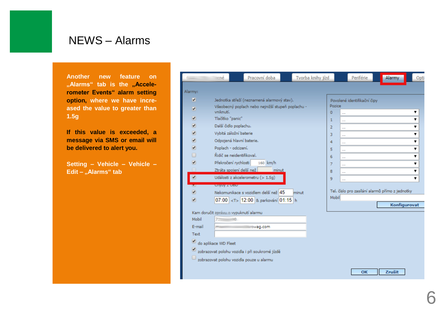#### NEWS – Alarm s

**Another new feature on**  "Alarms" tab is the "Accele**rometer Events" alarm setting option, where we have increased the value to greater than 1.5 g**

**If this value is exceeded, a message via SMS or email will be delivered to alert you.**

**Setting – Vehicle – Vehicle – Edit – "Alarm s " tab**

| Green                    | ⊞mé                    | Pracovní doba                                     | Tvorba knihy jízd |                    | Periférie                                       | Alarmy       | Opti |
|--------------------------|------------------------|---------------------------------------------------|-------------------|--------------------|-------------------------------------------------|--------------|------|
| Alarmy:                  |                        |                                                   |                   |                    |                                                 |              |      |
| $\overline{\mathbf{v}}$  |                        | Jednotka střeží (neznamená alarmový stav).        |                   |                    | Povolené identifikační čipy                     |              |      |
| ✔                        | vniknutí.              | Všeobecný poplach nebo nejnižší stupeň poplachu - |                   | Pozice<br>$\Omega$ | $\overline{a}$                                  |              | ▼    |
| $\blacktriangledown$     | Tlačítko "panic"       |                                                   |                   | $\mathbf{1}$       | $\ddotsc$                                       |              | ▼    |
| $\overline{\mathbf{r}}$  | Další čidlo poplachu.  |                                                   |                   | Ž.                 | $\cdots$                                        |              |      |
| ☑                        | Vybitá záložní baterie |                                                   |                   | 3                  |                                                 |              | ▼    |
| $\overline{\mathbf{r}}$  |                        | Odpojená hlavní baterie.                          |                   | 4                  |                                                 |              | 7    |
| $\overline{\bullet}$     | Poplach - odcizení.    |                                                   |                   | 5                  |                                                 |              | ▼    |
| $\Box$                   |                        | Řidič se neidentifikoval.                         |                   | 6                  |                                                 |              | ▼    |
| $\overline{\mathbf{r}}$  | Překročení rychlosti   | 160 km/h                                          |                   | 7                  |                                                 |              | ▼    |
| n.                       |                        | Ztráta spojení delší než<br>minut                 |                   | 8                  | $\overline{a}$                                  |              | 7    |
| $\blacktriangledown$     |                        | Události z akcelerometru (> 1.5g)                 |                   | 9                  |                                                 |              | ▼    |
|                          | <b>Chyby z Oppr</b>    |                                                   |                   |                    |                                                 |              |      |
| $\overline{\mathcal{C}}$ |                        | Nekomunikace s vozidlem delší než 45              | minut             |                    | Tel. číslo pro zasílání alarmů přímo z jednotky |              |      |
| ᢦ                        |                        | 07:00 <t> 12:00 &amp; parkování 01:15 h</t>       |                   | Mobil              |                                                 |              |      |
|                          |                        |                                                   |                   |                    |                                                 | Konfigurovat |      |
|                          |                        | Kam doručit zprávu o vypuknutí alarmu             |                   |                    |                                                 |              |      |
| Mobil                    | 738888890              |                                                   |                   |                    |                                                 |              |      |
| F-mail                   | masses                 | com                                               |                   |                    |                                                 |              |      |
| Text                     |                        |                                                   |                   |                    |                                                 |              |      |
| ⊻                        | do aplikace WD Fleet   |                                                   |                   |                    |                                                 |              |      |
|                          |                        | zobrazovat polohu vozidla i při soukromé jízdě    |                   |                    |                                                 |              |      |
|                          |                        | zobrazovat polohu vozidla pouze u alarmu          |                   |                    |                                                 |              |      |
|                          |                        |                                                   |                   |                    |                                                 |              |      |
|                          |                        |                                                   |                   |                    | OK                                              | Zrušit       |      |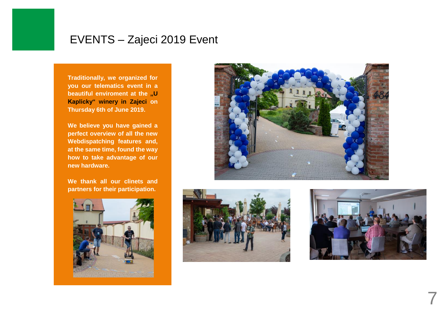#### EVENTS – Zajeci 2019 Event

**Traditionally, we organized for you our telematics event in a beautiful enviroment at the "U Kaplicky" winery in Zajeci on Thursday 6th of June 2019.**

**We believe you have gained a perfect overview of all the new Webdispatching features and, at the same time, found the way how to take advantage of our new hardware.**

**We thank all our clinets and partners for their participation.**









7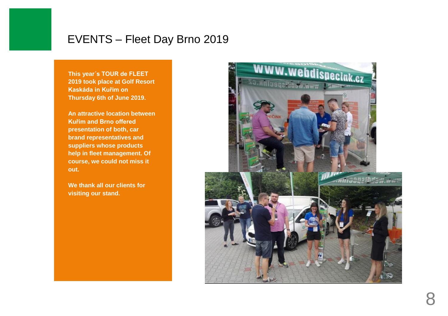### EVENTS – Fleet Day Brno 2019

**This year´s TOUR de FLEET 2019 took place at Golf Resort Kaskáda in Kuřim on Thursday 6th of June 2019.**

**An attractive location between Kuřim and Brno offered presentation of both, car brand representatives and suppliers whose products help in fleet management. Of course, we could not miss it out.** 

**We thank all our clients for visiting our stand.**